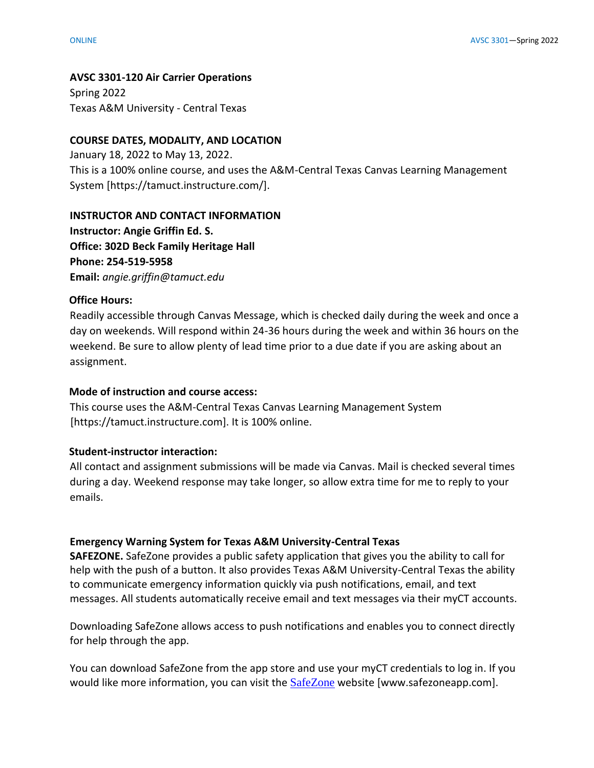### **AVSC 3301-120 Air Carrier Operations**

Spring 2022 Texas A&M University - Central Texas

## **COURSE DATES, MODALITY, AND LOCATION**

January 18, 2022 to May 13, 2022. This is a 100% online course, and uses the A&M-Central Texas Canvas Learning Management System [https://tamuct.instructure.com/].

## **INSTRUCTOR AND CONTACT INFORMATION**

**Instructor: Angie Griffin Ed. S. Office: 302D Beck Family Heritage Hall Phone: 254-519-5958 Email:** *angie.griffin@tamuct.edu*

### **Office Hours:**

Readily accessible through Canvas Message, which is checked daily during the week and once a day on weekends. Will respond within 24-36 hours during the week and within 36 hours on the weekend. Be sure to allow plenty of lead time prior to a due date if you are asking about an assignment.

## **Mode of instruction and course access:**

This course uses the A&M-Central Texas Canvas Learning Management System [https://tamuct.instructure.com]. It is 100% online.

## **Student-instructor interaction:**

All contact and assignment submissions will be made via Canvas. Mail is checked several times during a day. Weekend response may take longer, so allow extra time for me to reply to your emails.

## **Emergency Warning System for Texas A&M University-Central Texas**

**SAFEZONE.** SafeZone provides a public safety application that gives you the ability to call for help with the push of a button. It also provides Texas A&M University-Central Texas the ability to communicate emergency information quickly via push notifications, email, and text messages. All students automatically receive email and text messages via their myCT accounts.

Downloading SafeZone allows access to push notifications and enables you to connect directly for help through the app.

You can download SafeZone from the app store and use your myCT credentials to log in. If you would like more information, you can visit the [SafeZone](https://nam04.safelinks.protection.outlook.com/?url=http%3A%2F%2Fwww.safezoneapp.com%2F&data=04%7C01%7Ccarson.pearce%40tamuct.edu%7C36042fab4fc7434c090008d9c3cb353b%7C9eed4e3000f744849ff193ad8005acec%7C0%7C0%7C637756100428183868%7CUnknown%7CTWFpbGZsb3d8eyJWIjoiMC4wLjAwMDAiLCJQIjoiV2luMzIiLCJBTiI6Ik1haWwiLCJXVCI6Mn0%3D%7C3000&sdata=M9GtdIRPIWaqAL85MChHRNMQgb%2FnvmJdfyjR%2BUN19pk%3D&reserved=0) website [www.safezoneapp.com].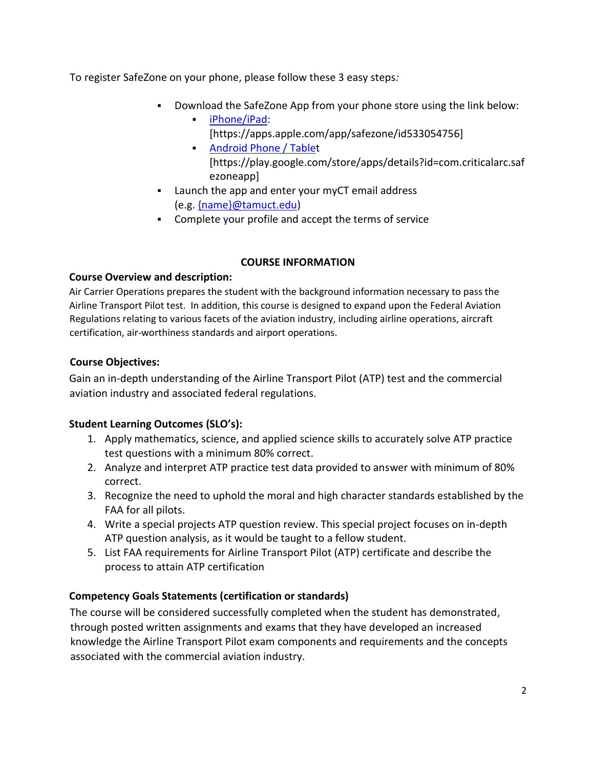To register SafeZone on your phone, please follow these 3 easy steps*:*

- Download the SafeZone App from your phone store using the link below:
	- [iPhone/iPad:](https://nam04.safelinks.protection.outlook.com/?url=https%3A%2F%2Fapps.apple.com%2Fapp%2Fsafezone%2Fid533054756&data=04%7C01%7Ccarson.pearce%40tamuct.edu%7C36042fab4fc7434c090008d9c3cb353b%7C9eed4e3000f744849ff193ad8005acec%7C0%7C0%7C637756100428183868%7CUnknown%7CTWFpbGZsb3d8eyJWIjoiMC4wLjAwMDAiLCJQIjoiV2luMzIiLCJBTiI6Ik1haWwiLCJXVCI6Mn0%3D%7C3000&sdata=vPQVTvekmuTQkNF6pF73JFVExrbMKfheHZ%2BjyIbHOvY%3D&reserved=0) [https://apps.apple.com/app/safezone/id533054756]
	- **[Android Phone / Tablet](https://nam04.safelinks.protection.outlook.com/?url=https%3A%2F%2Fplay.google.com%2Fstore%2Fapps%2Fdetails%3Fid%3Dcom.criticalarc.safezoneapp&data=04%7C01%7Ccarson.pearce%40tamuct.edu%7C36042fab4fc7434c090008d9c3cb353b%7C9eed4e3000f744849ff193ad8005acec%7C0%7C0%7C637756100428183868%7CUnknown%7CTWFpbGZsb3d8eyJWIjoiMC4wLjAwMDAiLCJQIjoiV2luMzIiLCJBTiI6Ik1haWwiLCJXVCI6Mn0%3D%7C3000&sdata=HL5WG7P5ZCWthKyES6ag8naBQllFHtelfPV4m6jfPYg%3D&reserved=0)** [https://play.google.com/store/apps/details?id=com.criticalarc.saf ezoneapp]
- Launch the app and enter your myCT email address (e.g. [{name}@tamuct.edu\)](mailto:%7bname%7d@tamuct.edu)
- Complete your profile and accept the terms of service

# **COURSE INFORMATION**

# **Course Overview and description:**

Air Carrier Operations prepares the student with the background information necessary to pass the Airline Transport Pilot test. In addition, this course is designed to expand upon the Federal Aviation Regulations relating to various facets of the aviation industry, including airline operations, aircraft certification, air-worthiness standards and airport operations.

# **Course Objectives:**

Gain an in-depth understanding of the Airline Transport Pilot (ATP) test and the commercial aviation industry and associated federal regulations.

# **Student Learning Outcomes (SLO's):**

- 1. Apply mathematics, science, and applied science skills to accurately solve ATP practice test questions with a minimum 80% correct.
- 2. Analyze and interpret ATP practice test data provided to answer with minimum of 80% correct.
- 3. Recognize the need to uphold the moral and high character standards established by the FAA for all pilots.
- 4. Write a special projects ATP question review. This special project focuses on in-depth ATP question analysis, as it would be taught to a fellow student.
- 5. List FAA requirements for Airline Transport Pilot (ATP) certificate and describe the process to attain ATP certification

# **Competency Goals Statements (certification or standards)**

The course will be considered successfully completed when the student has demonstrated, through posted written assignments and exams that they have developed an increased knowledge the Airline Transport Pilot exam components and requirements and the concepts associated with the commercial aviation industry.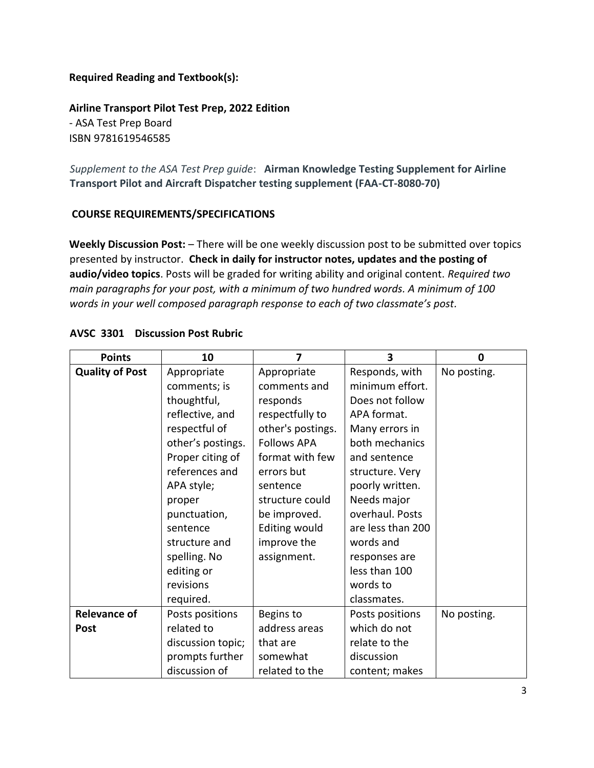# **Required Reading and Textbook(s):**

**Airline Transport Pilot Test Prep, 2022 Edition**  - ASA Test Prep Board ISBN 9781619546585

*Supplement to the ASA Test Prep guide*: **Airman Knowledge Testing Supplement for Airline Transport Pilot and Aircraft Dispatcher testing supplement (FAA-CT-8080-70)**

## **COURSE REQUIREMENTS/SPECIFICATIONS**

**Weekly Discussion Post:** – There will be one weekly discussion post to be submitted over topics presented by instructor. **Check in daily for instructor notes, updates and the posting of audio/video topics**. Posts will be graded for writing ability and original content. *Required two main paragraphs for your post, with a minimum of two hundred words. A minimum of 100 words in your well composed paragraph response to each of two classmate's post.* 

| <b>Points</b>          | 10                | 7                    | 3                 | 0           |
|------------------------|-------------------|----------------------|-------------------|-------------|
| <b>Quality of Post</b> | Appropriate       | Appropriate          | Responds, with    | No posting. |
|                        | comments; is      | comments and         | minimum effort.   |             |
|                        | thoughtful,       | responds             | Does not follow   |             |
|                        | reflective, and   | respectfully to      | APA format.       |             |
|                        | respectful of     | other's postings.    | Many errors in    |             |
|                        | other's postings. | <b>Follows APA</b>   | both mechanics    |             |
|                        | Proper citing of  | format with few      | and sentence      |             |
|                        | references and    | errors but           | structure. Very   |             |
|                        | APA style;        | sentence             | poorly written.   |             |
|                        | proper            | structure could      | Needs major       |             |
|                        | punctuation,      | be improved.         | overhaul. Posts   |             |
|                        | sentence          | <b>Editing would</b> | are less than 200 |             |
|                        | structure and     | improve the          | words and         |             |
|                        | spelling. No      | assignment.          | responses are     |             |
|                        | editing or        |                      | less than 100     |             |
|                        | revisions         |                      | words to          |             |
|                        | required.         |                      | classmates.       |             |
| <b>Relevance of</b>    | Posts positions   | Begins to            | Posts positions   | No posting. |
| <b>Post</b>            | related to        | address areas        | which do not      |             |
|                        | discussion topic; | that are             | relate to the     |             |
|                        | prompts further   | somewhat             | discussion        |             |
|                        | discussion of     | related to the       | content; makes    |             |

## **AVSC 3301 Discussion Post Rubric**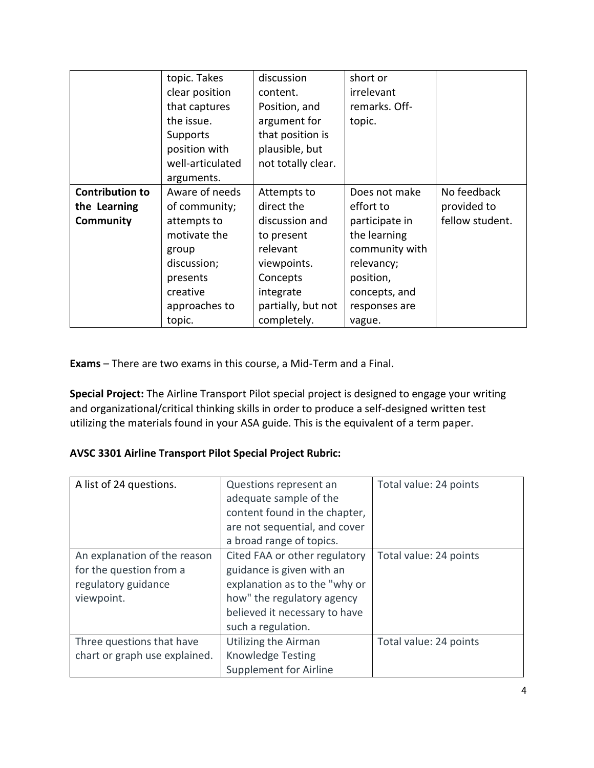|                        | topic. Takes     | discussion         | short or       |                 |
|------------------------|------------------|--------------------|----------------|-----------------|
|                        | clear position   | content.           | irrelevant     |                 |
|                        | that captures    | Position, and      | remarks. Off-  |                 |
|                        | the issue.       | argument for       | topic.         |                 |
|                        | Supports         | that position is   |                |                 |
|                        | position with    | plausible, but     |                |                 |
|                        | well-articulated | not totally clear. |                |                 |
|                        | arguments.       |                    |                |                 |
| <b>Contribution to</b> | Aware of needs   | Attempts to        | Does not make  | No feedback     |
| the Learning           | of community;    | direct the         | effort to      | provided to     |
| Community              | attempts to      | discussion and     | participate in | fellow student. |
|                        | motivate the     | to present         | the learning   |                 |
|                        | group            | relevant           | community with |                 |
|                        | discussion;      | viewpoints.        | relevancy;     |                 |
|                        | presents         | Concepts           | position,      |                 |
|                        | creative         | integrate          | concepts, and  |                 |
|                        | approaches to    | partially, but not | responses are  |                 |
|                        | topic.           | completely.        | vague.         |                 |

**Exams** – There are two exams in this course, a Mid-Term and a Final.

**Special Project:** The Airline Transport Pilot special project is designed to engage your writing and organizational/critical thinking skills in order to produce a self-designed written test utilizing the materials found in your ASA guide. This is the equivalent of a term paper.

# **AVSC 3301 Airline Transport Pilot Special Project Rubric:**

| A list of 24 questions.                                                                      | Questions represent an<br>adequate sample of the<br>content found in the chapter,<br>are not sequential, and cover<br>a broad range of topics.                                   | Total value: 24 points |
|----------------------------------------------------------------------------------------------|----------------------------------------------------------------------------------------------------------------------------------------------------------------------------------|------------------------|
| An explanation of the reason<br>for the question from a<br>regulatory guidance<br>viewpoint. | Cited FAA or other regulatory<br>guidance is given with an<br>explanation as to the "why or<br>how" the regulatory agency<br>believed it necessary to have<br>such a regulation. | Total value: 24 points |
| Three questions that have<br>chart or graph use explained.                                   | Utilizing the Airman<br><b>Knowledge Testing</b><br><b>Supplement for Airline</b>                                                                                                | Total value: 24 points |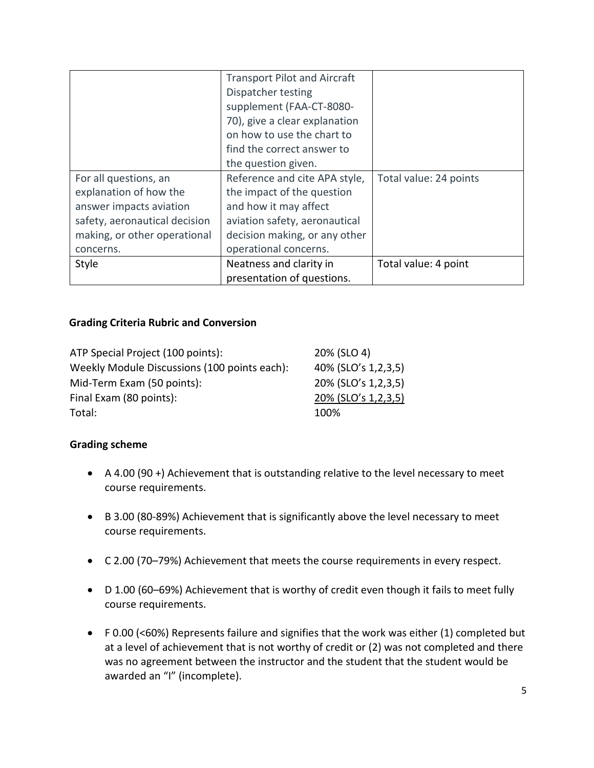|                               | <b>Transport Pilot and Aircraft</b> |                        |
|-------------------------------|-------------------------------------|------------------------|
|                               | Dispatcher testing                  |                        |
|                               | supplement (FAA-CT-8080-            |                        |
|                               | 70), give a clear explanation       |                        |
|                               | on how to use the chart to          |                        |
|                               | find the correct answer to          |                        |
|                               | the question given.                 |                        |
| For all questions, an         | Reference and cite APA style,       | Total value: 24 points |
| explanation of how the        | the impact of the question          |                        |
| answer impacts aviation       | and how it may affect               |                        |
| safety, aeronautical decision | aviation safety, aeronautical       |                        |
| making, or other operational  | decision making, or any other       |                        |
| concerns.                     | operational concerns.               |                        |
| Style                         | Neatness and clarity in             | Total value: 4 point   |
|                               | presentation of questions.          |                        |

## **Grading Criteria Rubric and Conversion**

| ATP Special Project (100 points):            | 20% (SLO 4)         |
|----------------------------------------------|---------------------|
| Weekly Module Discussions (100 points each): | 40% (SLO's 1,2,3,5) |
| Mid-Term Exam (50 points):                   | 20% (SLO's 1,2,3,5) |
| Final Exam (80 points):                      | 20% (SLO's 1,2,3,5) |
| Total:                                       | 100%                |

# **Grading scheme**

- A 4.00 (90 +) Achievement that is outstanding relative to the level necessary to meet course requirements.
- B 3.00 (80-89%) Achievement that is significantly above the level necessary to meet course requirements.
- C 2.00 (70–79%) Achievement that meets the course requirements in every respect.
- D 1.00 (60–69%) Achievement that is worthy of credit even though it fails to meet fully course requirements.
- F 0.00 (<60%) Represents failure and signifies that the work was either (1) completed but at a level of achievement that is not worthy of credit or (2) was not completed and there was no agreement between the instructor and the student that the student would be awarded an "I" (incomplete).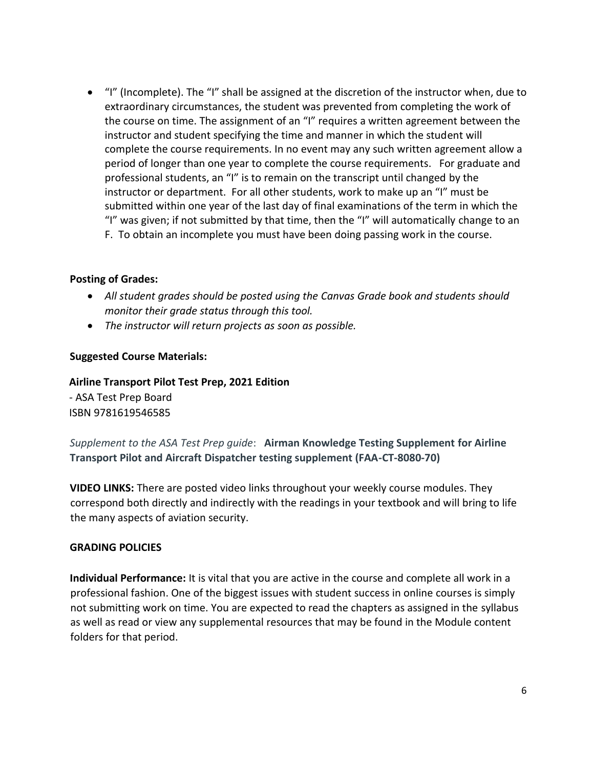"I" (Incomplete). The "I" shall be assigned at the discretion of the instructor when, due to extraordinary circumstances, the student was prevented from completing the work of the course on time. The assignment of an "I" requires a written agreement between the instructor and student specifying the time and manner in which the student will complete the course requirements. In no event may any such written agreement allow a period of longer than one year to complete the course requirements. For graduate and professional students, an "I" is to remain on the transcript until changed by the instructor or department. For all other students, work to make up an "I" must be submitted within one year of the last day of final examinations of the term in which the "I" was given; if not submitted by that time, then the "I" will automatically change to an F. To obtain an incomplete you must have been doing passing work in the course.

## **Posting of Grades:**

- *All student grades should be posted using the Canvas Grade book and students should monitor their grade status through this tool.*
- *The instructor will return projects as soon as possible.*

## **Suggested Course Materials:**

**Airline Transport Pilot Test Prep, 2021 Edition**  - ASA Test Prep Board ISBN 9781619546585

*Supplement to the ASA Test Prep guide*: **Airman Knowledge Testing Supplement for Airline Transport Pilot and Aircraft Dispatcher testing supplement (FAA-CT-8080-70)**

**VIDEO LINKS:** There are posted video links throughout your weekly course modules. They correspond both directly and indirectly with the readings in your textbook and will bring to life the many aspects of aviation security.

## **GRADING POLICIES**

**Individual Performance:** It is vital that you are active in the course and complete all work in a professional fashion. One of the biggest issues with student success in online courses is simply not submitting work on time. You are expected to read the chapters as assigned in the syllabus as well as read or view any supplemental resources that may be found in the Module content folders for that period.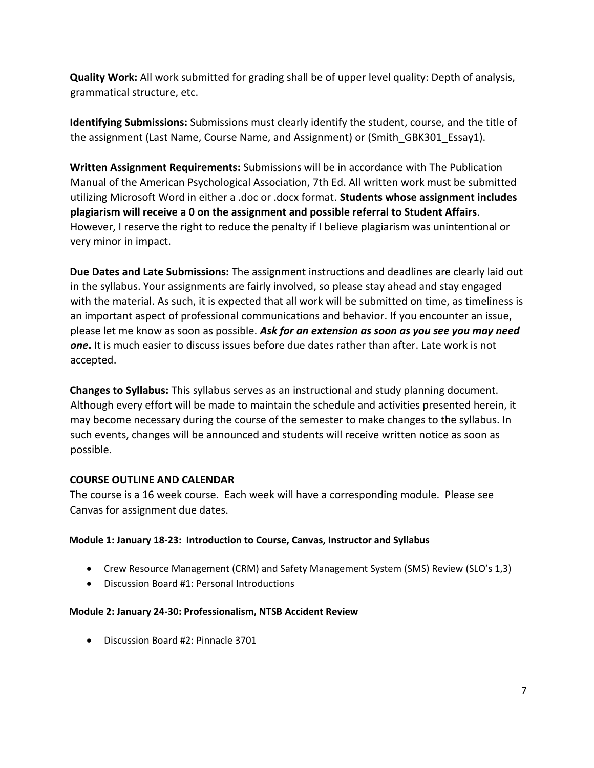**Quality Work:** All work submitted for grading shall be of upper level quality: Depth of analysis, grammatical structure, etc.

**Identifying Submissions:** Submissions must clearly identify the student, course, and the title of the assignment (Last Name, Course Name, and Assignment) or (Smith GBK301 Essay1).

**Written Assignment Requirements:** Submissions will be in accordance with The Publication Manual of the American Psychological Association, 7th Ed. All written work must be submitted utilizing Microsoft Word in either a .doc or .docx format. **Students whose assignment includes plagiarism will receive a 0 on the assignment and possible referral to Student Affairs**. However, I reserve the right to reduce the penalty if I believe plagiarism was unintentional or very minor in impact.

**Due Dates and Late Submissions:** The assignment instructions and deadlines are clearly laid out in the syllabus. Your assignments are fairly involved, so please stay ahead and stay engaged with the material. As such, it is expected that all work will be submitted on time, as timeliness is an important aspect of professional communications and behavior. If you encounter an issue, please let me know as soon as possible. *Ask for an extension as soon as you see you may need one***.** It is much easier to discuss issues before due dates rather than after. Late work is not accepted.

**Changes to Syllabus:** This syllabus serves as an instructional and study planning document. Although every effort will be made to maintain the schedule and activities presented herein, it may become necessary during the course of the semester to make changes to the syllabus. In such events, changes will be announced and students will receive written notice as soon as possible.

# **COURSE OUTLINE AND CALENDAR**

The course is a 16 week course. Each week will have a corresponding module. Please see Canvas for assignment due dates.

## **Module 1: January 18-23: Introduction to Course, Canvas, Instructor and Syllabus**

- Crew Resource Management (CRM) and Safety Management System (SMS) Review (SLO's 1,3)
- Discussion Board #1: Personal Introductions

#### **Module 2: January 24-30: Professionalism, NTSB Accident Review**

Discussion Board #2: Pinnacle 3701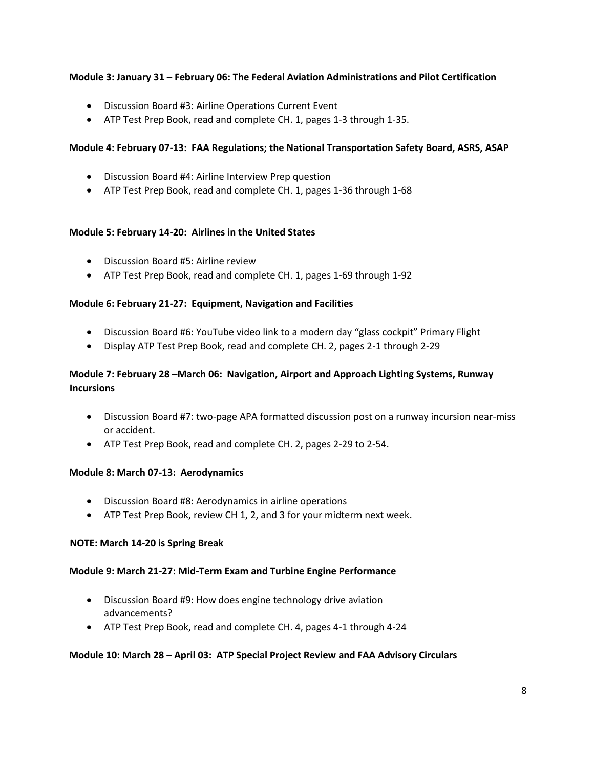## **Module 3: January 31 – February 06: The Federal Aviation Administrations and Pilot Certification**

- Discussion Board #3: Airline Operations Current Event
- ATP Test Prep Book, read and complete CH. 1, pages 1-3 through 1-35.

#### **Module 4: February 07-13: FAA Regulations; the National Transportation Safety Board, ASRS, ASAP**

- Discussion Board #4: Airline Interview Prep question
- ATP Test Prep Book, read and complete CH. 1, pages 1-36 through 1-68

#### **Module 5: February 14-20: Airlines in the United States**

- Discussion Board #5: Airline review
- ATP Test Prep Book, read and complete CH. 1, pages 1-69 through 1-92

#### **Module 6: February 21-27: Equipment, Navigation and Facilities**

- Discussion Board #6: YouTube video link to a modern day "glass cockpit" Primary Flight
- Display ATP Test Prep Book, read and complete CH. 2, pages 2-1 through 2-29

## **Module 7: February 28 –March 06: Navigation, Airport and Approach Lighting Systems, Runway Incursions**

- Discussion Board #7: two-page APA formatted discussion post on a runway incursion near-miss or accident.
- ATP Test Prep Book, read and complete CH. 2, pages 2-29 to 2-54.

#### **Module 8: March 07-13: Aerodynamics**

- Discussion Board #8: Aerodynamics in airline operations
- ATP Test Prep Book, review CH 1, 2, and 3 for your midterm next week.

#### **NOTE: March 14-20 is Spring Break**

#### **Module 9: March 21-27: Mid-Term Exam and Turbine Engine Performance**

- Discussion Board #9: How does engine technology drive aviation advancements?
- ATP Test Prep Book, read and complete CH. 4, pages 4-1 through 4-24

#### **Module 10: March 28 – April 03: ATP Special Project Review and FAA Advisory Circulars**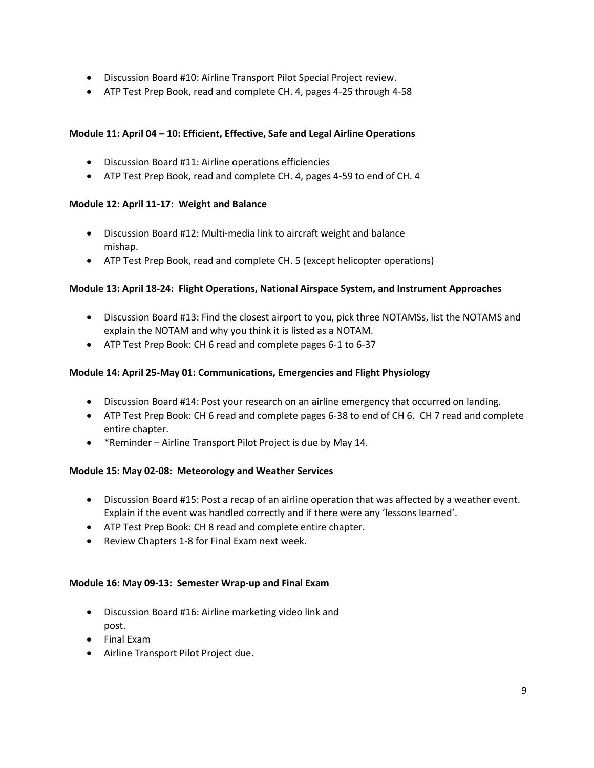- Discussion Board #10: Airline Transport Pilot Special Project review.
- ATP Test Prep Book, read and complete CH. 4, pages 4-25 through 4-58

## **Module 11: April 04 – 10: Efficient, Effective, Safe and Legal Airline Operations**

- Discussion Board #11: Airline operations efficiencies
- ATP Test Prep Book, read and complete CH. 4, pages 4-59 to end of CH. 4

### **Module 12: April 11-17: Weight and Balance**

- Discussion Board #12: Multi-media link to aircraft weight and balance mishap.
- ATP Test Prep Book, read and complete CH. 5 (except helicopter operations)

#### **Module 13: April 18-24: Flight Operations, National Airspace System, and Instrument Approaches**

- Discussion Board #13: Find the closest airport to you, pick three NOTAMSs, list the NOTAMS and explain the NOTAM and why you think it is listed as a NOTAM.
- ATP Test Prep Book: CH 6 read and complete pages 6-1 to 6-37

### **Module 14: April 25-May 01: Communications, Emergencies and Flight Physiology**

- Discussion Board #14: Post your research on an airline emergency that occurred on landing.
- ATP Test Prep Book: CH 6 read and complete pages 6-38 to end of CH 6. CH 7 read and complete entire chapter.
- \*Reminder Airline Transport Pilot Project is due by May 14.

#### **Module 15: May 02-08: Meteorology and Weather Services**

- Discussion Board #15: Post a recap of an airline operation that was affected by a weather event. Explain if the event was handled correctly and if there were any 'lessons learned'.
- ATP Test Prep Book: CH 8 read and complete entire chapter.
- Review Chapters 1-8 for Final Exam next week.

#### **Module 16: May 09-13: Semester Wrap-up and Final Exam**

- Discussion Board #16: Airline marketing video link and post.
- Final Exam
- Airline Transport Pilot Project due.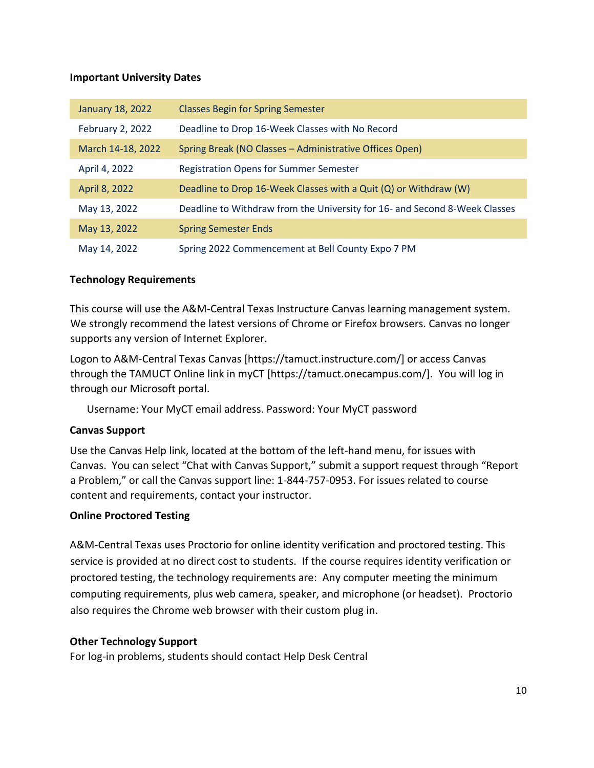## **Important University Dates**

| January 18, 2022  | <b>Classes Begin for Spring Semester</b>                                   |
|-------------------|----------------------------------------------------------------------------|
| February 2, 2022  | Deadline to Drop 16-Week Classes with No Record                            |
| March 14-18, 2022 | Spring Break (NO Classes - Administrative Offices Open)                    |
| April 4, 2022     | <b>Registration Opens for Summer Semester</b>                              |
| April 8, 2022     | Deadline to Drop 16-Week Classes with a Quit (Q) or Withdraw (W)           |
| May 13, 2022      | Deadline to Withdraw from the University for 16- and Second 8-Week Classes |
| May 13, 2022      | <b>Spring Semester Ends</b>                                                |
| May 14, 2022      | Spring 2022 Commencement at Bell County Expo 7 PM                          |

# **Technology Requirements**

This course will use the A&M-Central Texas Instructure Canvas learning management system. We strongly recommend the latest versions of Chrome or Firefox browsers. Canvas no longer supports any version of Internet Explorer.

Logon to A&M-Central Texas Canvas [https://tamuct.instructure.com/] or access Canvas through the TAMUCT Online link in myCT [https://tamuct.onecampus.com/]. You will log in through our Microsoft portal.

Username: Your MyCT email address. Password: Your MyCT password

# **Canvas Support**

Use the Canvas Help link, located at the bottom of the left-hand menu, for issues with Canvas. You can select "Chat with Canvas Support," submit a support request through "Report a Problem," or call the Canvas support line: 1-844-757-0953. For issues related to course content and requirements, contact your instructor.

# **Online Proctored Testing**

A&M-Central Texas uses Proctorio for online identity verification and proctored testing. This service is provided at no direct cost to students. If the course requires identity verification or proctored testing, the technology requirements are: Any computer meeting the minimum computing requirements, plus web camera, speaker, and microphone (or headset). Proctorio also requires the Chrome web browser with their custom plug in.

## **Other Technology Support**

For log-in problems, students should contact Help Desk Central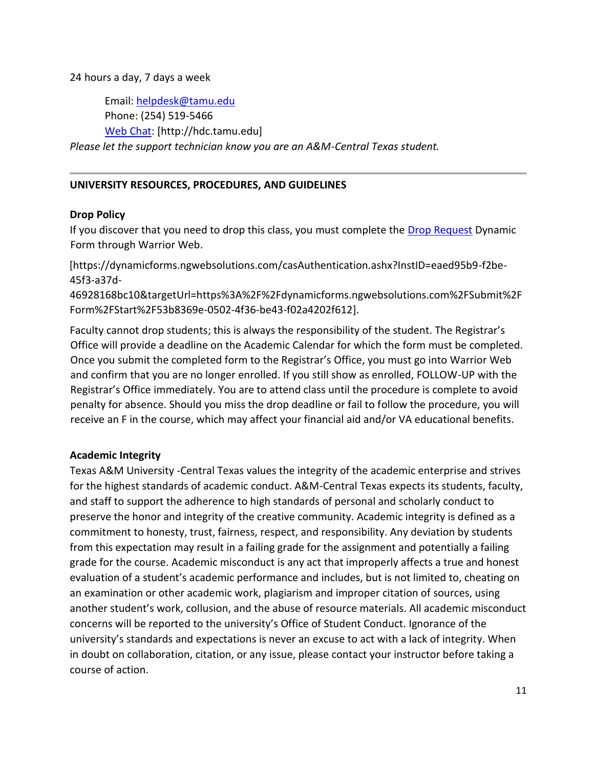24 hours a day, 7 days a week

Email: [helpdesk@tamu.edu](mailto:helpdesk@tamu.edu) Phone: (254) 519-5466 [Web Chat:](http://hdc.tamu.edu/) [http://hdc.tamu.edu] *Please let the support technician know you are an A&M-Central Texas student.*

## **UNIVERSITY RESOURCES, PROCEDURES, AND GUIDELINES**

## **Drop Policy**

If you discover that you need to drop this class, you must complete the [Drop Request](https://dynamicforms.ngwebsolutions.com/casAuthentication.ashx?InstID=eaed95b9-f2be-45f3-a37d-46928168bc10&targetUrl=https%3A%2F%2Fdynamicforms.ngwebsolutions.com%2FSubmit%2FForm%2FStart%2F53b8369e-0502-4f36-be43-f02a4202f612) Dynamic Form through Warrior Web.

[https://dynamicforms.ngwebsolutions.com/casAuthentication.ashx?InstID=eaed95b9-f2be-45f3-a37d-

46928168bc10&targetUrl=https%3A%2F%2Fdynamicforms.ngwebsolutions.com%2FSubmit%2F Form%2FStart%2F53b8369e-0502-4f36-be43-f02a4202f612].

Faculty cannot drop students; this is always the responsibility of the student. The Registrar's Office will provide a deadline on the Academic Calendar for which the form must be completed. Once you submit the completed form to the Registrar's Office, you must go into Warrior Web and confirm that you are no longer enrolled. If you still show as enrolled, FOLLOW-UP with the Registrar's Office immediately. You are to attend class until the procedure is complete to avoid penalty for absence. Should you miss the drop deadline or fail to follow the procedure, you will receive an F in the course, which may affect your financial aid and/or VA educational benefits.

## **Academic Integrity**

Texas A&M University -Central Texas values the integrity of the academic enterprise and strives for the highest standards of academic conduct. A&M-Central Texas expects its students, faculty, and staff to support the adherence to high standards of personal and scholarly conduct to preserve the honor and integrity of the creative community. Academic integrity is defined as a commitment to honesty, trust, fairness, respect, and responsibility. Any deviation by students from this expectation may result in a failing grade for the assignment and potentially a failing grade for the course. Academic misconduct is any act that improperly affects a true and honest evaluation of a student's academic performance and includes, but is not limited to, cheating on an examination or other academic work, plagiarism and improper citation of sources, using another student's work, collusion, and the abuse of resource materials. All academic misconduct concerns will be reported to the university's Office of Student Conduct. Ignorance of the university's standards and expectations is never an excuse to act with a lack of integrity. When in doubt on collaboration, citation, or any issue, please contact your instructor before taking a course of action.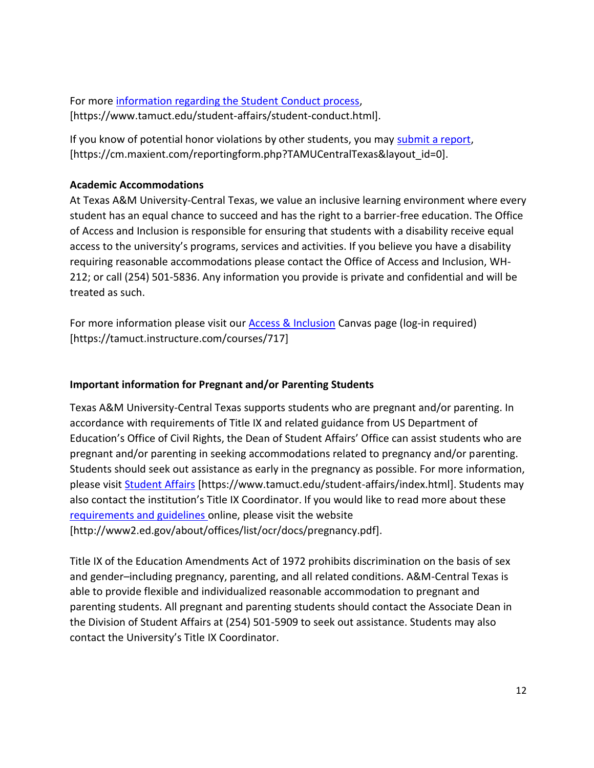For more [information regarding the Student Conduct process,](https://www.tamuct.edu/student-affairs/student-conduct.html) [https://www.tamuct.edu/student-affairs/student-conduct.html].

If you know of potential honor violations by other students, you may [submit a report,](https://cm.maxient.com/reportingform.php?TAMUCentralTexas&layout_id=0) [https://cm.maxient.com/reportingform.php?TAMUCentralTexas&layout\_id=0].

# **Academic Accommodations**

At Texas A&M University-Central Texas, we value an inclusive learning environment where every student has an equal chance to succeed and has the right to a barrier-free education. The Office of Access and Inclusion is responsible for ensuring that students with a disability receive equal access to the university's programs, services and activities. If you believe you have a disability requiring reasonable accommodations please contact the Office of Access and Inclusion, WH-212; or call (254) 501-5836. Any information you provide is private and confidential and will be treated as such.

For more information please visit our **Access & Inclusion** Canvas page (log-in required) [https://tamuct.instructure.com/courses/717]

# **Important information for Pregnant and/or Parenting Students**

Texas A&M University-Central Texas supports students who are pregnant and/or parenting. In accordance with requirements of Title IX and related guidance from US Department of Education's Office of Civil Rights, the Dean of Student Affairs' Office can assist students who are pregnant and/or parenting in seeking accommodations related to pregnancy and/or parenting. Students should seek out assistance as early in the pregnancy as possible. For more information, please visit **Student Affairs** [https://www.tamuct.edu/student-affairs/index.html]. Students may also contact the institution's Title IX Coordinator. If you would like to read more about these [requirements and guidelines](http://www2.ed.gov/about/offices/list/ocr/docs/pregnancy.pdf) online, please visit the website [http://www2.ed.gov/about/offices/list/ocr/docs/pregnancy.pdf].

Title IX of the Education Amendments Act of 1972 prohibits discrimination on the basis of sex and gender–including pregnancy, parenting, and all related conditions. A&M-Central Texas is able to provide flexible and individualized reasonable accommodation to pregnant and parenting students. All pregnant and parenting students should contact the Associate Dean in the Division of Student Affairs at (254) 501-5909 to seek out assistance. Students may also contact the University's Title IX Coordinator.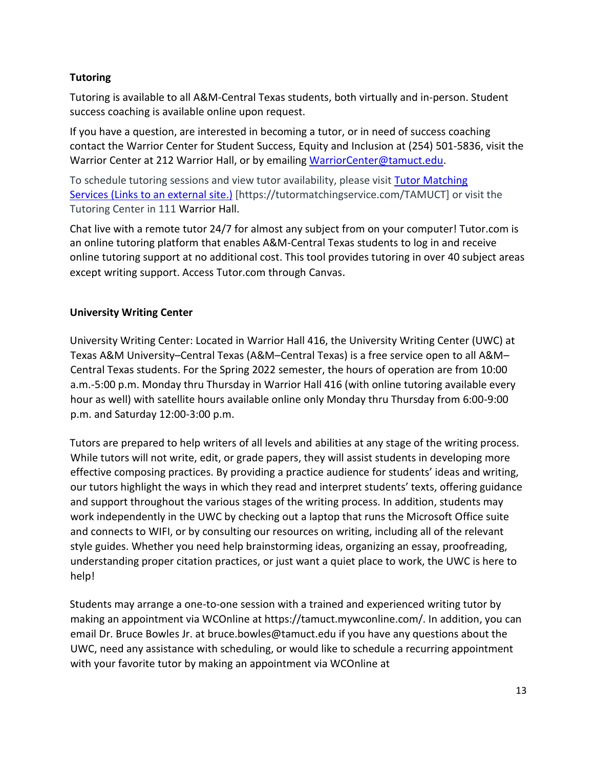# **Tutoring**

Tutoring is available to all A&M-Central Texas students, both virtually and in-person. Student success coaching is available online upon request.

If you have a question, are interested in becoming a tutor, or in need of success coaching contact the Warrior Center for Student Success, Equity and Inclusion at (254) 501-5836, visit the Warrior Center at 212 Warrior Hall, or by emailing [WarriorCenter@tamuct.edu.](mailto:WarriorCenter@tamuct.edu)

To schedule tutoring sessions and view tutor availability, please visit Tutor Matching Services (Links to an [external](https://tutormatchingservice.com/TAMUCT) site.) [https://tutormatchingservice.com/TAMUCT] or visit the Tutoring Center in 111 Warrior Hall.

Chat live with a remote tutor 24/7 for almost any subject from on your computer! Tutor.com is an online tutoring platform that enables A&M-Central Texas students to log in and receive online tutoring support at no additional cost. This tool provides tutoring in over 40 subject areas except writing support. Access Tutor.com through Canvas.

# **University Writing Center**

University Writing Center: Located in Warrior Hall 416, the University Writing Center (UWC) at Texas A&M University–Central Texas (A&M–Central Texas) is a free service open to all A&M– Central Texas students. For the Spring 2022 semester, the hours of operation are from 10:00 a.m.-5:00 p.m. Monday thru Thursday in Warrior Hall 416 (with online tutoring available every hour as well) with satellite hours available online only Monday thru Thursday from 6:00-9:00 p.m. and Saturday 12:00-3:00 p.m.

Tutors are prepared to help writers of all levels and abilities at any stage of the writing process. While tutors will not write, edit, or grade papers, they will assist students in developing more effective composing practices. By providing a practice audience for students' ideas and writing, our tutors highlight the ways in which they read and interpret students' texts, offering guidance and support throughout the various stages of the writing process. In addition, students may work independently in the UWC by checking out a laptop that runs the Microsoft Office suite and connects to WIFI, or by consulting our resources on writing, including all of the relevant style guides. Whether you need help brainstorming ideas, organizing an essay, proofreading, understanding proper citation practices, or just want a quiet place to work, the UWC is here to help!

Students may arrange a one-to-one session with a trained and experienced writing tutor by making an appointment via WCOnline at https://tamuct.mywconline.com/. In addition, you can email Dr. Bruce Bowles Jr. at bruce.bowles@tamuct.edu if you have any questions about the UWC, need any assistance with scheduling, or would like to schedule a recurring appointment with your favorite tutor by making an appointment via WCOnline at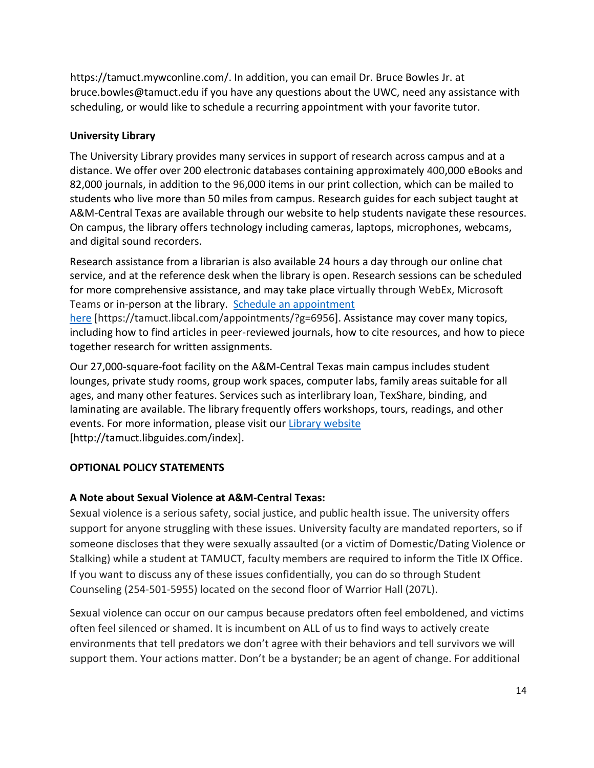https://tamuct.mywconline.com/. In addition, you can email Dr. Bruce Bowles Jr. at bruce.bowles@tamuct.edu if you have any questions about the UWC, need any assistance with scheduling, or would like to schedule a recurring appointment with your favorite tutor.

## **University Library**

The University Library provides many services in support of research across campus and at a distance. We offer over 200 electronic databases containing approximately 400,000 eBooks and 82,000 journals, in addition to the 96,000 items in our print collection, which can be mailed to students who live more than 50 miles from campus. Research guides for each subject taught at A&M-Central Texas are available through our website to help students navigate these resources. On campus, the library offers technology including cameras, laptops, microphones, webcams, and digital sound recorders.

Research assistance from a librarian is also available 24 hours a day through our online chat service, and at the reference desk when the library is open. Research sessions can be scheduled for more comprehensive assistance, and may take place virtually through WebEx, Microsoft Teams or in-person at the library. Schedule an [appointment](https://nam04.safelinks.protection.outlook.com/?url=https%3A%2F%2Ftamuct.libcal.com%2Fappointments%2F%3Fg%3D6956&data=04%7C01%7Clisa.bunkowski%40tamuct.edu%7Cde2c07d9f5804f09518008d9ab7ba6ff%7C9eed4e3000f744849ff193ad8005acec%7C0%7C0%7C637729369835011558%7CUnknown%7CTWFpbGZsb3d8eyJWIjoiMC4wLjAwMDAiLCJQIjoiV2luMzIiLCJBTiI6Ik1haWwiLCJXVCI6Mn0%3D%7C3000&sdata=KhtjgRSAw9aq%2FoBsB6wyu8b7PSuGN5EGPypzr3Ty2No%3D&reserved=0)

[here](https://nam04.safelinks.protection.outlook.com/?url=https%3A%2F%2Ftamuct.libcal.com%2Fappointments%2F%3Fg%3D6956&data=04%7C01%7Clisa.bunkowski%40tamuct.edu%7Cde2c07d9f5804f09518008d9ab7ba6ff%7C9eed4e3000f744849ff193ad8005acec%7C0%7C0%7C637729369835011558%7CUnknown%7CTWFpbGZsb3d8eyJWIjoiMC4wLjAwMDAiLCJQIjoiV2luMzIiLCJBTiI6Ik1haWwiLCJXVCI6Mn0%3D%7C3000&sdata=KhtjgRSAw9aq%2FoBsB6wyu8b7PSuGN5EGPypzr3Ty2No%3D&reserved=0) [https://tamuct.libcal.com/appointments/?g=6956]. Assistance may cover many topics, including how to find articles in peer-reviewed journals, how to cite resources, and how to piece together research for written assignments.

Our 27,000-square-foot facility on the A&M-Central Texas main campus includes student lounges, private study rooms, group work spaces, computer labs, family areas suitable for all ages, and many other features. Services such as interlibrary loan, TexShare, binding, and laminating are available. The library frequently offers workshops, tours, readings, and other events. For more information, please visit our Library [website](https://nam04.safelinks.protection.outlook.com/?url=https%3A%2F%2Ftamuct.libguides.com%2Findex&data=04%7C01%7Clisa.bunkowski%40tamuct.edu%7C7d8489e8839a4915335f08d916f067f2%7C9eed4e3000f744849ff193ad8005acec%7C0%7C0%7C637566044056484222%7CUnknown%7CTWFpbGZsb3d8eyJWIjoiMC4wLjAwMDAiLCJQIjoiV2luMzIiLCJBTiI6Ik1haWwiLCJXVCI6Mn0%3D%7C1000&sdata=2R755V6rcIyedGrd4Os5rkgn1PvhHKU3kUV1vBKiHFo%3D&reserved=0) [http://tamuct.libguides.com/index].

# **OPTIONAL POLICY STATEMENTS**

# **A Note about Sexual Violence at A&M-Central Texas:**

Sexual violence is a serious safety, social justice, and public health issue. The university offers support for anyone struggling with these issues. University faculty are mandated reporters, so if someone discloses that they were sexually assaulted (or a victim of Domestic/Dating Violence or Stalking) while a student at TAMUCT, faculty members are required to inform the Title IX Office. If you want to discuss any of these issues confidentially, you can do so through Student Counseling (254-501-5955) located on the second floor of Warrior Hall (207L).

Sexual violence can occur on our campus because predators often feel emboldened, and victims often feel silenced or shamed. It is incumbent on ALL of us to find ways to actively create environments that tell predators we don't agree with their behaviors and tell survivors we will support them. Your actions matter. Don't be a bystander; be an agent of change. For additional